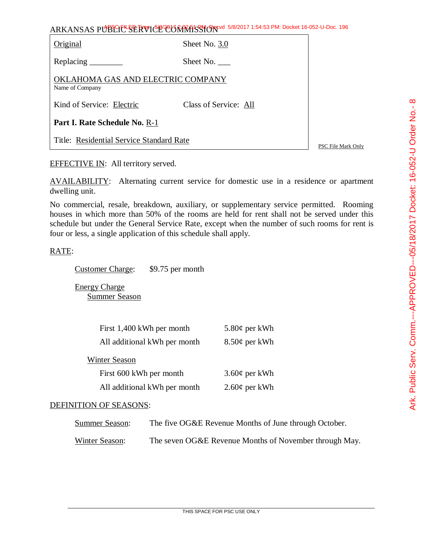| ARKANSAS PUBLIC <sup>L</sup> SERVICE COMMISSION 5/8/2017 1:54:53 PM: Docket 16-052-U-Doc. 196 |                       |  |  |  |
|-----------------------------------------------------------------------------------------------|-----------------------|--|--|--|
| Original                                                                                      | Sheet No. 3.0         |  |  |  |
| Replacing $\overline{\phantom{a}}$                                                            | Sheet No.             |  |  |  |
| OKLAHOMA GAS AND ELECTRIC COMPANY<br>Name of Company                                          |                       |  |  |  |
| Kind of Service: Electric                                                                     | Class of Service: All |  |  |  |
| <b>Part I. Rate Schedule No. R-1</b>                                                          |                       |  |  |  |

Title: Residential Service Standard Rate

PSC File Mark Only

EFFECTIVE IN: All territory served.

AVAILABILITY: Alternating current service for domestic use in a residence or apartment dwelling unit.

No commercial, resale, breakdown, auxiliary, or supplementary service permitted. Rooming houses in which more than 50% of the rooms are held for rent shall not be served under this schedule but under the General Service Rate, except when the number of such rooms for rent is four or less, a single application of this schedule shall apply.

RATE:

Customer Charge: \$9.75 per month

Energy Charge Summer Season

| First 1,400 kWh per month    | 5.80 $\phi$ per kWh |
|------------------------------|---------------------|
| All additional kWh per month | $8.50\phi$ per kWh  |
| <b>Winter Season</b>         |                     |
| First 600 kWh per month      | $3.60¢$ per kWh     |
| All additional kWh per month | $2.60\phi$ per kWh  |

## DEFINITION OF SEASONS:

| <b>Summer Season:</b> | The five OG&E Revenue Months of June through October.  |
|-----------------------|--------------------------------------------------------|
| Winter Season:        | The seven OG&E Revenue Months of November through May. |